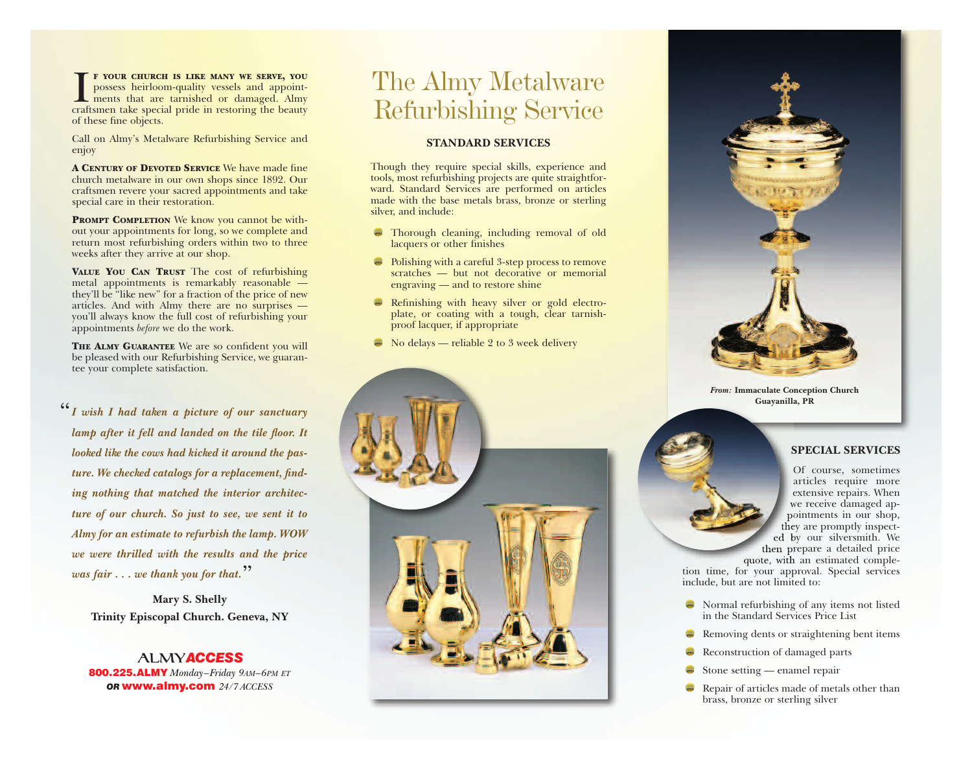I F YOUR CHURCH IS LIKE MANY WE SERVE, YOU possess heirloom-quality vessels and appoint-<br>ments that are tarnished or damaged. Almy<br>craftsmen take special pride in restoring the beauty **F YOUR CHURCH IS LIKE MANY WE SERVE, YOU** possess heirloom-quality vessels and appointments that are tarnished or damaged. Almy of these fine objects.

Call on Almy's Metalware Refurbishing Service and enjoy

**A CENTURY OF DEVOTED SERVICE** We have made fine church metalware in our own shops since 1892. Our craftsmen revere your sacred appointments and take special care in their restoration.

**PROMPT COMPLETION** We know you cannot be without your appointments for long, so we complete and return most refurbishing orders within two to three weeks after they arrive at our shop.

**VALUE YOU CAN TRUST** The cost of refurbishing metal appointments is remarkably reasonable they'll be "like new" for a fraction of the price of new articles. And with Almy there are no surprises you'll always know the full cost of refurbishing your appointments *before* we do the work.

**THE ALMY GUARANTEE** We are so confident you will be pleased with our Refurbishing Service, we guarantee your complete satisfaction.

*I wish I had taken a picture of our sanctuary* "*lamp after it fell and landed on the tile floor. It looked like the cows had kicked it around the pasture. We checked catalogs for a replacement, finding nothing that matched the interior architecture of our church. So just to see, we sent it to Almy for an estimate to refurbish the lamp. WOW we were thrilled with the results and the price was fair . . . we thank you for that.* "

> **Mary S. Shelly Trinity Episcopal Church. Geneva, NY**

**ALMYACCESS 800.225.ALMY** *Monday–Friday 9AM–6PM ET OR* **www.almy.com** *24 ⁄ 7 ACCESS*

# The Almy Metalware Refurbishing Service

#### **STANDARD SERVICES**

Though they require special skills, experience and tools, most refurbishing projects are quite straightforward. Standard Services are performed on articles made with the base metals brass, bronze or sterling silver, and include:

- Thorough cleaning, including removal of old lacquers or other finishes
- Polishing with a careful 3-step process to remove scratches — but not decorative or memorial engraving — and to restore shine
- Refinishing with heavy silver or gold electroplate, or coating with a tough, clear tarnishproof lacquer, if appropriate
- $\rightarrow$  No delays reliable 2 to 3 week delivery





*From:* **Immaculate Conception Church Guayanilla, PR**

#### **SPECIAL SERVICES**

Of course, sometimes articles require more extensive repairs. When we receive damaged appointments in our shop, they are promptly inspected by our silversmith. We then prepare a detailed price

quote, with an estimated completion time, for your approval. Special services include, but are not limited to:

- $\blacktriangleright$  Normal refurbishing of any items not listed in the Standard Services Price List
- Removing dents or straightening bent items
- Reconstruction of damaged parts
- Stone setting enamel repair
- $\overline{\phantom{a}}$ Repair of articles made of metals other than brass, bronze or sterling silver